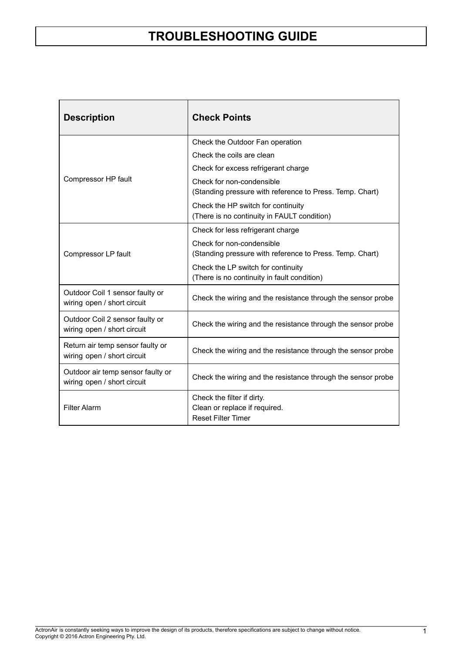| <b>Description</b>                                               | <b>Check Points</b>                                                                      |
|------------------------------------------------------------------|------------------------------------------------------------------------------------------|
|                                                                  | Check the Outdoor Fan operation                                                          |
|                                                                  | Check the coils are clean                                                                |
|                                                                  | Check for excess refrigerant charge                                                      |
| Compressor HP fault                                              | Check for non-condensible<br>(Standing pressure with reference to Press. Temp. Chart)    |
|                                                                  | Check the HP switch for continuity<br>(There is no continuity in FAULT condition)        |
|                                                                  | Check for less refrigerant charge                                                        |
| Compressor LP fault                                              | Check for non-condensible<br>(Standing pressure with reference to Press. Temp. Chart)    |
|                                                                  | Check the LP switch for continuity<br>(There is no continuity in fault condition)        |
| Outdoor Coil 1 sensor faulty or<br>wiring open / short circuit   | Check the wiring and the resistance through the sensor probe                             |
| Outdoor Coil 2 sensor faulty or<br>wiring open / short circuit   | Check the wiring and the resistance through the sensor probe                             |
| Return air temp sensor faulty or<br>wiring open / short circuit  | Check the wiring and the resistance through the sensor probe                             |
| Outdoor air temp sensor faulty or<br>wiring open / short circuit | Check the wiring and the resistance through the sensor probe                             |
| <b>Filter Alarm</b>                                              | Check the filter if dirty.<br>Clean or replace if required.<br><b>Reset Filter Timer</b> |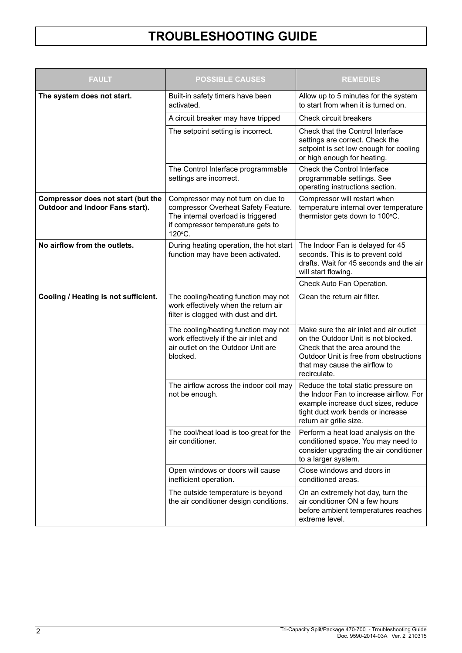| <b>FAULT</b>                                                          | <b>POSSIBLE CAUSES</b>                                                                                                                                        | <b>REMEDIES</b>                                                                                                                                                                                            |  |  |  |
|-----------------------------------------------------------------------|---------------------------------------------------------------------------------------------------------------------------------------------------------------|------------------------------------------------------------------------------------------------------------------------------------------------------------------------------------------------------------|--|--|--|
| The system does not start.                                            | Built-in safety timers have been<br>activated.                                                                                                                | Allow up to 5 minutes for the system<br>to start from when it is turned on.                                                                                                                                |  |  |  |
|                                                                       | A circuit breaker may have tripped                                                                                                                            | Check circuit breakers                                                                                                                                                                                     |  |  |  |
|                                                                       | The setpoint setting is incorrect.                                                                                                                            | Check that the Control Interface<br>settings are correct. Check the<br>setpoint is set low enough for cooling<br>or high enough for heating.                                                               |  |  |  |
|                                                                       | The Control Interface programmable<br>settings are incorrect.                                                                                                 | Check the Control Interface<br>programmable settings. See<br>operating instructions section.                                                                                                               |  |  |  |
| Compressor does not start (but the<br>Outdoor and Indoor Fans start). | Compressor may not turn on due to<br>compressor Overheat Safety Feature.<br>The internal overload is triggered<br>if compressor temperature gets to<br>120°C. | Compressor will restart when<br>temperature internal over temperature<br>thermistor gets down to 100°C.                                                                                                    |  |  |  |
| No airflow from the outlets.                                          | During heating operation, the hot start<br>function may have been activated.                                                                                  | The Indoor Fan is delayed for 45<br>seconds. This is to prevent cold<br>drafts. Wait for 45 seconds and the air<br>will start flowing.                                                                     |  |  |  |
|                                                                       |                                                                                                                                                               | Check Auto Fan Operation.                                                                                                                                                                                  |  |  |  |
| Cooling / Heating is not sufficient.                                  | Clean the return air filter.<br>The cooling/heating function may not<br>work effectively when the return air<br>filter is clogged with dust and dirt.         |                                                                                                                                                                                                            |  |  |  |
|                                                                       | The cooling/heating function may not<br>work effectively if the air inlet and<br>air outlet on the Outdoor Unit are<br>blocked.                               | Make sure the air inlet and air outlet<br>on the Outdoor Unit is not blocked.<br>Check that the area around the<br>Outdoor Unit is free from obstructions<br>that may cause the airflow to<br>recirculate. |  |  |  |
|                                                                       | The airflow across the indoor coil may<br>not be enough.                                                                                                      | Reduce the total static pressure on<br>the Indoor Fan to increase airflow. For<br>example increase duct sizes, reduce<br>tight duct work bends or increase<br>return air grille size.                      |  |  |  |
|                                                                       | The cool/heat load is too great for the<br>air conditioner.                                                                                                   | Perform a heat load analysis on the<br>conditioned space. You may need to<br>consider upgrading the air conditioner<br>to a larger system.                                                                 |  |  |  |
|                                                                       | Open windows or doors will cause<br>inefficient operation.                                                                                                    | Close windows and doors in<br>conditioned areas.                                                                                                                                                           |  |  |  |
|                                                                       | The outside temperature is beyond<br>the air conditioner design conditions.                                                                                   | On an extremely hot day, turn the<br>air conditioner ON a few hours<br>before ambient temperatures reaches<br>extreme level.                                                                               |  |  |  |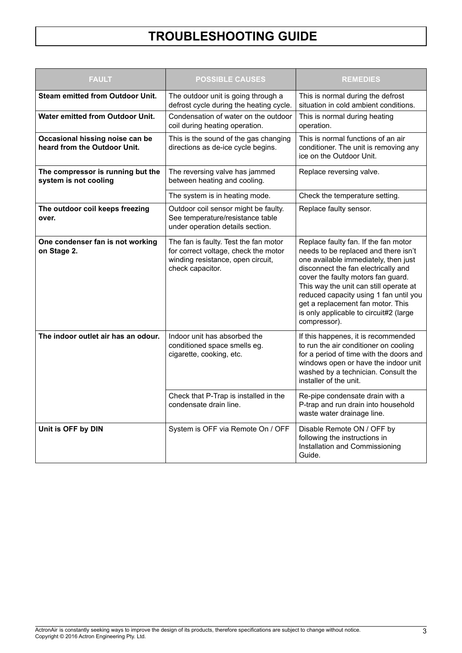| <b>FAULT</b>                                                    | <b>POSSIBLE CAUSES</b>                                                                                                                 | <b>REMEDIES</b>                                                                                                                                                                                                                                                                                                                                                                      |  |  |  |
|-----------------------------------------------------------------|----------------------------------------------------------------------------------------------------------------------------------------|--------------------------------------------------------------------------------------------------------------------------------------------------------------------------------------------------------------------------------------------------------------------------------------------------------------------------------------------------------------------------------------|--|--|--|
| <b>Steam emitted from Outdoor Unit.</b>                         | The outdoor unit is going through a<br>defrost cycle during the heating cycle.                                                         | This is normal during the defrost<br>situation in cold ambient conditions.                                                                                                                                                                                                                                                                                                           |  |  |  |
| <b>Water emitted from Outdoor Unit.</b>                         | Condensation of water on the outdoor<br>coil during heating operation.                                                                 | This is normal during heating<br>operation.                                                                                                                                                                                                                                                                                                                                          |  |  |  |
| Occasional hissing noise can be<br>heard from the Outdoor Unit. | This is the sound of the gas changing<br>directions as de-ice cycle begins.                                                            | This is normal functions of an air<br>conditioner. The unit is removing any<br>ice on the Outdoor Unit.                                                                                                                                                                                                                                                                              |  |  |  |
| The compressor is running but the<br>system is not cooling      | The reversing valve has jammed<br>between heating and cooling.                                                                         | Replace reversing valve.                                                                                                                                                                                                                                                                                                                                                             |  |  |  |
|                                                                 | The system is in heating mode.                                                                                                         | Check the temperature setting.                                                                                                                                                                                                                                                                                                                                                       |  |  |  |
| The outdoor coil keeps freezing<br>over.                        | Outdoor coil sensor might be faulty.<br>See temperature/resistance table<br>under operation details section.                           | Replace faulty sensor.                                                                                                                                                                                                                                                                                                                                                               |  |  |  |
| One condenser fan is not working<br>on Stage 2.                 | The fan is faulty. Test the fan motor<br>for correct voltage, check the motor<br>winding resistance, open circuit,<br>check capacitor. | Replace faulty fan. If the fan motor<br>needs to be replaced and there isn't<br>one available immediately, then just<br>disconnect the fan electrically and<br>cover the faulty motors fan guard.<br>This way the unit can still operate at<br>reduced capacity using 1 fan until you<br>get a replacement fan motor. This<br>is only applicable to circuit#2 (large<br>compressor). |  |  |  |
| The indoor outlet air has an odour.                             | Indoor unit has absorbed the<br>conditioned space smells eg.<br>cigarette, cooking, etc.                                               | If this happenes, it is recommended<br>to run the air conditioner on cooling<br>for a period of time with the doors and<br>windows open or have the indoor unit<br>washed by a technician. Consult the<br>installer of the unit.                                                                                                                                                     |  |  |  |
|                                                                 | Check that P-Trap is installed in the<br>condensate drain line.                                                                        | Re-pipe condensate drain with a<br>P-trap and run drain into household<br>waste water drainage line.                                                                                                                                                                                                                                                                                 |  |  |  |
| Unit is OFF by DIN                                              | System is OFF via Remote On / OFF                                                                                                      | Disable Remote ON / OFF by<br>following the instructions in<br>Installation and Commissioning<br>Guide.                                                                                                                                                                                                                                                                              |  |  |  |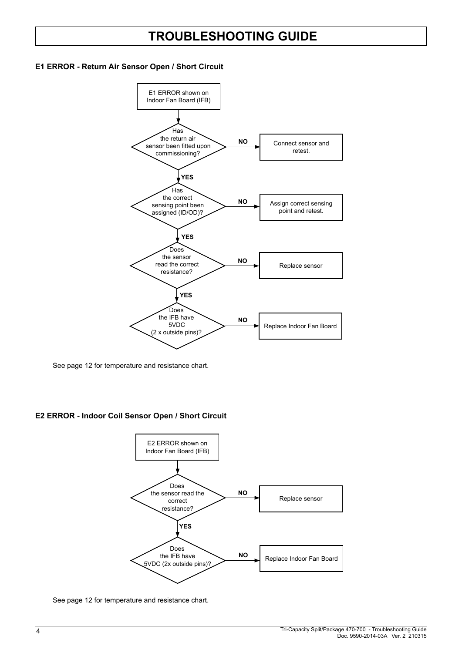#### **E1 ERROR - Return Air Sensor Open / Short Circuit**



See page 12 for temperature and resistance chart.

#### **E2 ERROR - Indoor Coil Sensor Open / Short Circuit**



See page 12 for temperature and resistance chart.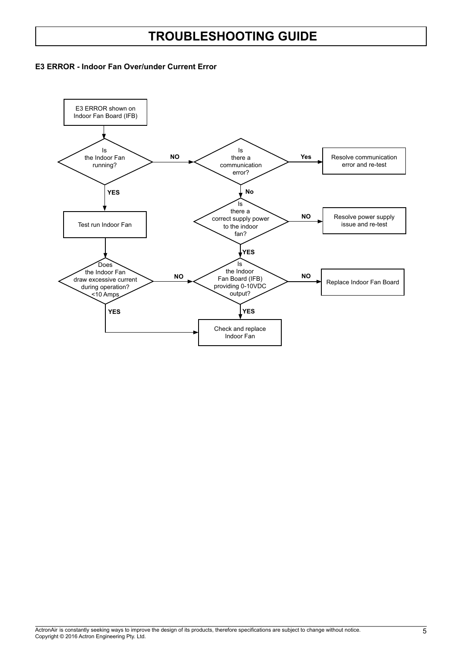#### **E3 ERROR - Indoor Fan Over/under Current Error**

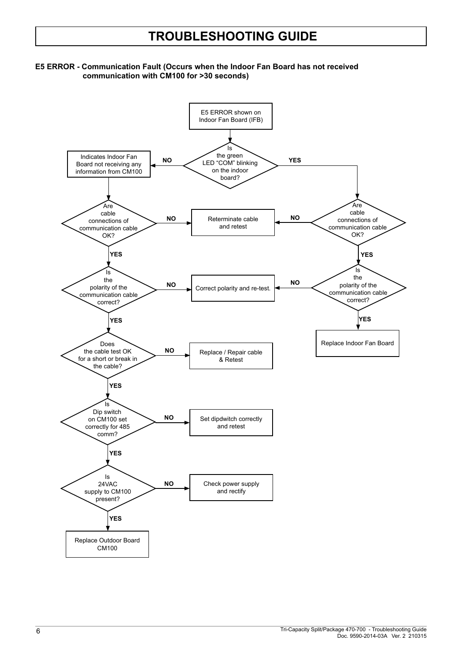#### **E5 ERROR - Communication Fault (Occurs when the Indoor Fan Board has not received communication with CM100 for >30 seconds)**

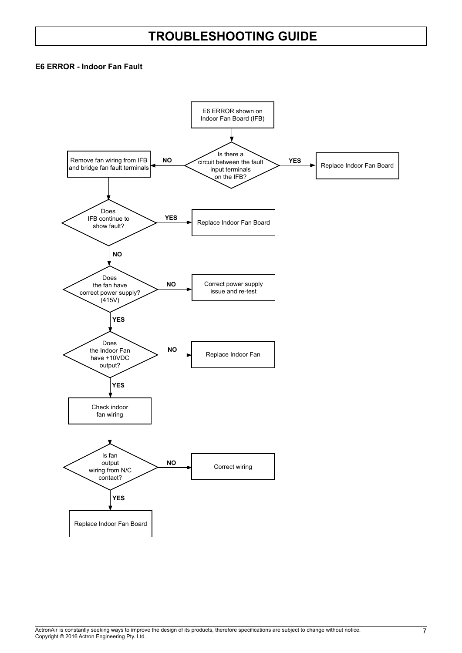#### **E6 ERROR - Indoor Fan Fault**

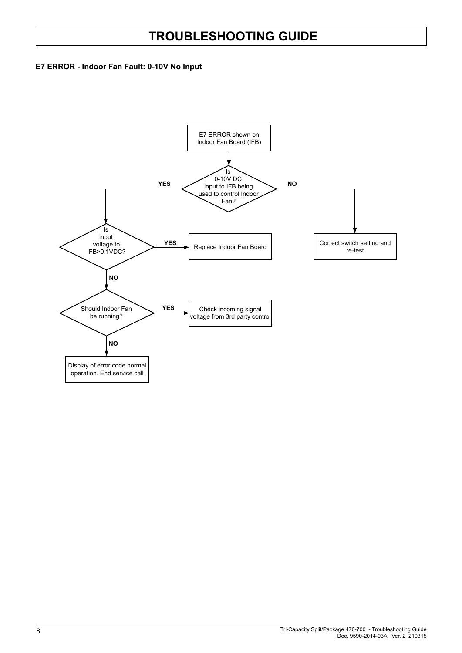#### **E7 ERROR - Indoor Fan Fault: 0-10V No Input**

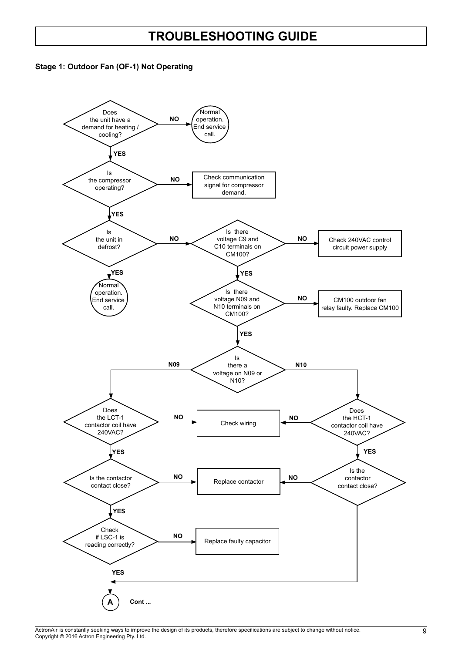

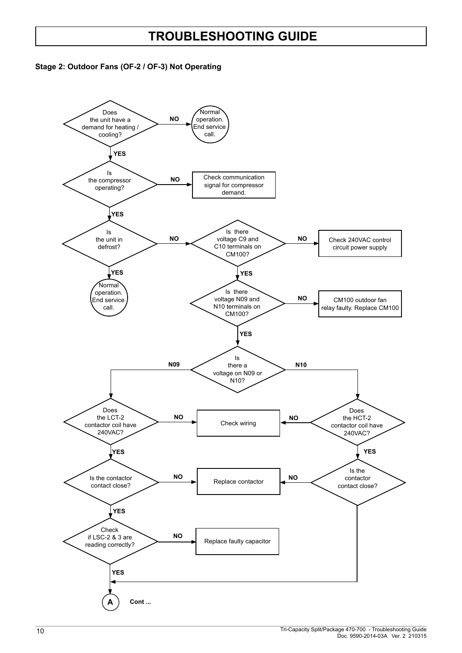

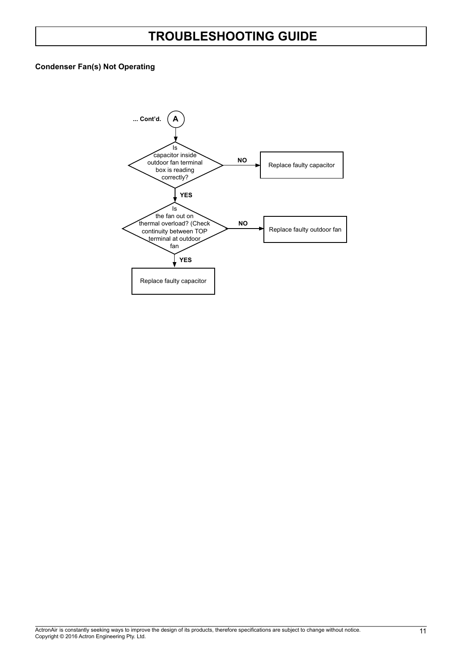#### **Condenser Fan(s) Not Operating**

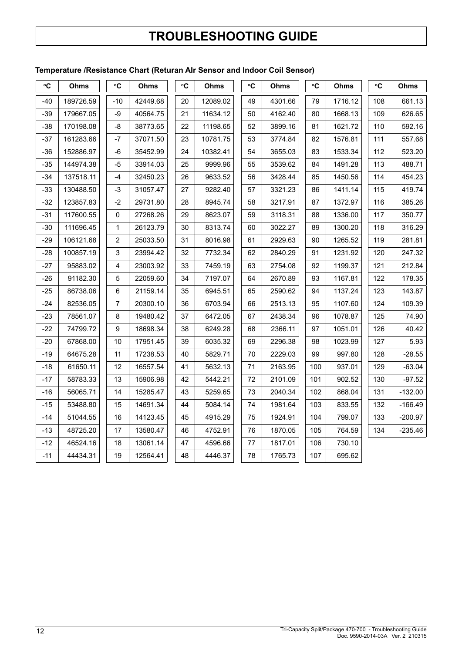#### **Temperature /Resistance Chart (Returan AIr Sensor and Indoor Coil Sensor)**

| °C    | Ohms      | °C             | Ohms     | ۰C | Ohms     | $\rm ^{\circ}C$ | Ohms    | °C  | Ohms    | °C  | Ohms      |
|-------|-----------|----------------|----------|----|----------|-----------------|---------|-----|---------|-----|-----------|
| -40   | 189726.59 | $-10$          | 42449.68 | 20 | 12089.02 | 49              | 4301.66 | 79  | 1716.12 | 108 | 661.13    |
| $-39$ | 179667.05 | -9             | 40564.75 | 21 | 11634.12 | 50              | 4162.40 | 80  | 1668.13 | 109 | 626.65    |
| $-38$ | 170198.08 | $-8$           | 38773.65 | 22 | 11198.65 | 52              | 3899.16 | 81  | 1621.72 | 110 | 592.16    |
| $-37$ | 161283.66 | $-7$           | 37071.50 | 23 | 10781.75 | 53              | 3774.84 | 82  | 1576.81 | 111 | 557.68    |
| $-36$ | 152886.97 | -6             | 35452.99 | 24 | 10382.41 | 54              | 3655.03 | 83  | 1533.34 | 112 | 523.20    |
| $-35$ | 144974.38 | $-5$           | 33914.03 | 25 | 9999.96  | 55              | 3539.62 | 84  | 1491.28 | 113 | 488.71    |
| $-34$ | 137518.11 | -4             | 32450.23 | 26 | 9633.52  | 56              | 3428.44 | 85  | 1450.56 | 114 | 454.23    |
| -33   | 130488.50 | $-3$           | 31057.47 | 27 | 9282.40  | 57              | 3321.23 | 86  | 1411.14 | 115 | 419.74    |
| $-32$ | 123857.83 | $-2$           | 29731.80 | 28 | 8945.74  | 58              | 3217.91 | 87  | 1372.97 | 116 | 385.26    |
| $-31$ | 117600.55 | 0              | 27268.26 | 29 | 8623.07  | 59              | 3118.31 | 88  | 1336.00 | 117 | 350.77    |
| -30   | 111696.45 | $\mathbf{1}$   | 26123.79 | 30 | 8313.74  | 60              | 3022.27 | 89  | 1300.20 | 118 | 316.29    |
| $-29$ | 106121.68 | $\sqrt{2}$     | 25033.50 | 31 | 8016.98  | 61              | 2929.63 | 90  | 1265.52 | 119 | 281.81    |
| $-28$ | 100857.19 | 3              | 23994.42 | 32 | 7732.34  | 62              | 2840.29 | 91  | 1231.92 | 120 | 247.32    |
| $-27$ | 95883.02  | 4              | 23003.92 | 33 | 7459.19  | 63              | 2754.08 | 92  | 1199.37 | 121 | 212.84    |
| $-26$ | 91182.30  | $\mathbf 5$    | 22059.60 | 34 | 7197.07  | 64              | 2670.89 | 93  | 1167.81 | 122 | 178.35    |
| $-25$ | 86738.06  | $\,6\,$        | 21159.14 | 35 | 6945.51  | 65              | 2590.62 | 94  | 1137.24 | 123 | 143.87    |
| -24   | 82536.05  | $\overline{7}$ | 20300.10 | 36 | 6703.94  | 66              | 2513.13 | 95  | 1107.60 | 124 | 109.39    |
| -23   | 78561.07  | 8              | 19480.42 | 37 | 6472.05  | 67              | 2438.34 | 96  | 1078.87 | 125 | 74.90     |
| $-22$ | 74799.72  | 9              | 18698.34 | 38 | 6249.28  | 68              | 2366.11 | 97  | 1051.01 | 126 | 40.42     |
| $-20$ | 67868.00  | 10             | 17951.45 | 39 | 6035.32  | 69              | 2296.38 | 98  | 1023.99 | 127 | 5.93      |
| $-19$ | 64675.28  | 11             | 17238.53 | 40 | 5829.71  | 70              | 2229.03 | 99  | 997.80  | 128 | $-28.55$  |
| -18   | 61650.11  | 12             | 16557.54 | 41 | 5632.13  | 71              | 2163.95 | 100 | 937.01  | 129 | $-63.04$  |
| $-17$ | 58783.33  | 13             | 15906.98 | 42 | 5442.21  | 72              | 2101.09 | 101 | 902.52  | 130 | $-97.52$  |
| $-16$ | 56065.71  | 14             | 15285.47 | 43 | 5259.65  | 73              | 2040.34 | 102 | 868.04  | 131 | $-132.00$ |
| $-15$ | 53488.80  | 15             | 14691.34 | 44 | 5084.14  | 74              | 1981.64 | 103 | 833.55  | 132 | $-166.49$ |
| $-14$ | 51044.55  | 16             | 14123.45 | 45 | 4915.29  | 75              | 1924.91 | 104 | 799.07  | 133 | $-200.97$ |
| $-13$ | 48725.20  | 17             | 13580.47 | 46 | 4752.91  | 76              | 1870.05 | 105 | 764.59  | 134 | $-235.46$ |
| $-12$ | 46524.16  | 18             | 13061.14 | 47 | 4596.66  | 77              | 1817.01 | 106 | 730.10  |     |           |
| $-11$ | 44434.31  | 19             | 12564.41 | 48 | 4446.37  | 78              | 1765.73 | 107 | 695.62  |     |           |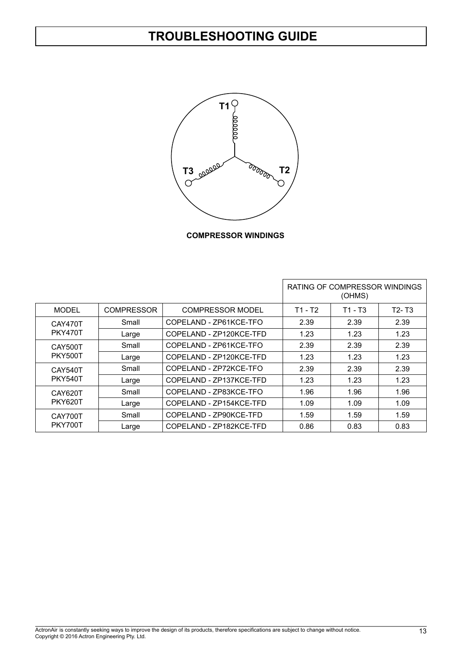

**COMPRESSOR WINDINGS**

|                  |                   |                         |         | RATING OF COMPRESSOR WINDINGS<br>(OHMS) |                                |
|------------------|-------------------|-------------------------|---------|-----------------------------------------|--------------------------------|
| <b>MODEL</b>     | <b>COMPRESSOR</b> | <b>COMPRESSOR MODEL</b> | T1 - T2 | T1 - T3                                 | T <sub>2</sub> -T <sub>3</sub> |
| CAY470T          | Small             | COPELAND - ZP61KCE-TFO  | 2.39    | 2.39                                    | 2.39                           |
| <b>PKY470T</b>   | Large             | COPELAND - ZP120KCE-TFD | 1.23    | 1.23                                    | 1.23                           |
| Small<br>CAY500T |                   | COPELAND - ZP61KCE-TFO  | 2.39    | 2.39                                    | 2.39                           |
| <b>PKY500T</b>   | Large             | COPELAND - ZP120KCE-TFD | 1.23    | 1.23                                    | 1.23                           |
| Small<br>CAY540T |                   | COPELAND - ZP72KCE-TFO  | 2.39    | 2.39                                    | 2.39                           |
| <b>PKY540T</b>   | Large             | COPELAND - ZP137KCE-TFD | 1.23    | 1.23                                    | 1.23                           |
| Small<br>CAY620T |                   | COPELAND - ZP83KCE-TFO  | 1.96    | 1.96                                    | 1.96                           |
| <b>PKY620T</b>   | Large             | COPELAND - ZP154KCE-TFD | 1.09    | 1.09                                    | 1.09                           |
| CAY700T          | Small             | COPELAND - ZP90KCE-TFD  | 1.59    | 1.59                                    | 1.59                           |
| PKY700T          | Large             | COPELAND - ZP182KCE-TFD | 0.86    | 0.83                                    | 0.83                           |